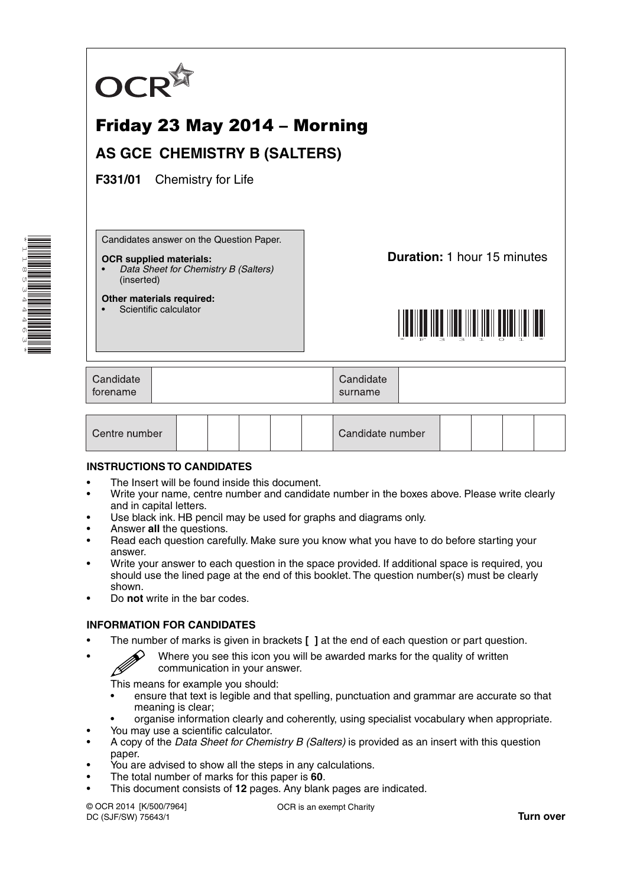

# Friday 23 May 2014 – Morning **AS GCE CHEMISTRY B (SALTERS)**

**F331/01** Chemistry for Life

Candidates answer on the Question Paper.

#### **OCR supplied materials:**

- *Data Sheet for Chemistry B (Salters)* (inserted)
- **Other materials required:** Scientific calculator

**Duration:** 1 hour 15 minutes



| Candidate<br>forename | Candidate<br>surname |  |
|-----------------------|----------------------|--|
|                       |                      |  |

| Centre number |  |  |  |  | Candidate number |  |  |  |  |  |
|---------------|--|--|--|--|------------------|--|--|--|--|--|
|---------------|--|--|--|--|------------------|--|--|--|--|--|

#### **INSTRUCTIONS TO CANDIDATES**

- The Insert will be found inside this document.
- Write your name, centre number and candidate number in the boxes above. Please write clearly and in capital letters.
- Use black ink. HB pencil may be used for graphs and diagrams only.
- Answer **all** the questions.
- Read each question carefully. Make sure you know what you have to do before starting your answer.
- Write your answer to each question in the space provided. If additional space is required, you should use the lined page at the end of this booklet. The question number(s) must be clearly shown.
- Do **not** write in the bar codes.

#### **INFORMATION FOR CANDIDATES**

- The number of marks is given in brackets **[ ]** at the end of each question or part question.
- $\mathscr{D}$  Where you see this icon you will be awarded marks for the quality of written communication in your answer.

This means for example you should:

- ensure that text is legible and that spelling, punctuation and grammar are accurate so that meaning is clear;
- organise information clearly and coherently, using specialist vocabulary when appropriate.
- You may use a scientific calculator.
- A copy of the *Data Sheet for Chemistry B (Salters)* is provided as an insert with this question paper.
- You are advised to show all the steps in any calculations.
- The total number of marks for this paper is **60**.
- This document consists of **12** pages. Any blank pages are indicated.

© OCR 2014 [K/500/7964] DC (SJF/SW) 75643/1

OCR is an exempt Charity

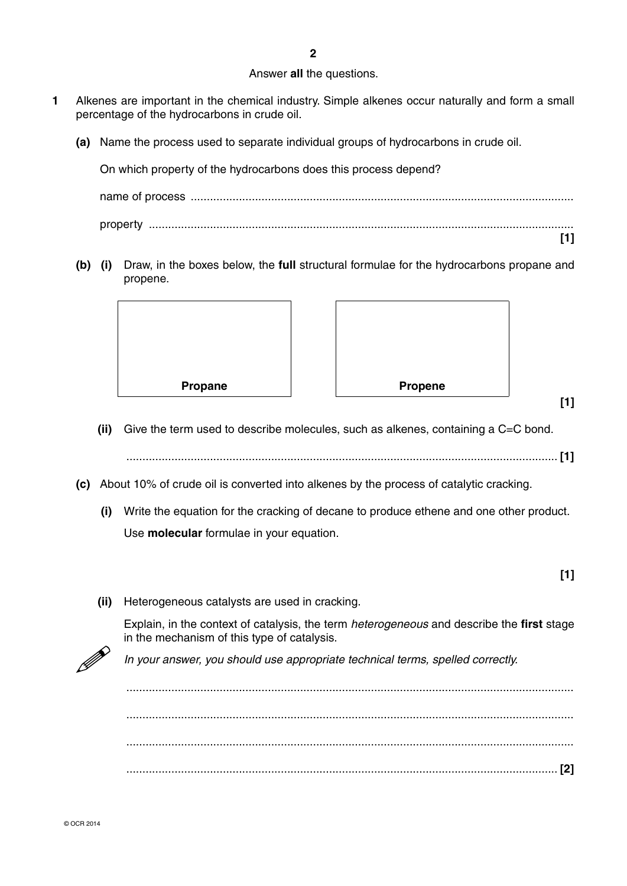#### Answer **all** the questions.

- **1** Alkenes are important in the chemical industry. Simple alkenes occur naturally and form a small percentage of the hydrocarbons in crude oil.
	- **(a)** Name the process used to separate individual groups of hydrocarbons in crude oil.

On which property of the hydrocarbons does this process depend? name of process ....................................................................................................................... property .................................................................................................................................... **[1]**

 **(b) (i)** Draw, in the boxes below, the **full** structural formulae for the hydrocarbons propane and propene.



 **(ii)** Give the term used to describe molecules, such as alkenes, containing a C=C bond.

...................................................................................................................................... **[1]**

**[1]**

**[1]**

- **(c)** About 10% of crude oil is converted into alkenes by the process of catalytic cracking.
	- **(i)** Write the equation for the cracking of decane to produce ethene and one other product. Use **molecular** formulae in your equation.
	- **(ii)** Heterogeneous catalysts are used in cracking.

Explain, in the context of catalysis, the term *heterogeneous* and describe the **first** stage in the mechanism of this type of catalysis.

*In your answer, you should use appropriate technical terms, spelled correctly.*

 ........................................................................................................................................... ........................................................................................................................................... ........................................................................................................................................... ...................................................................................................................................... **[2]**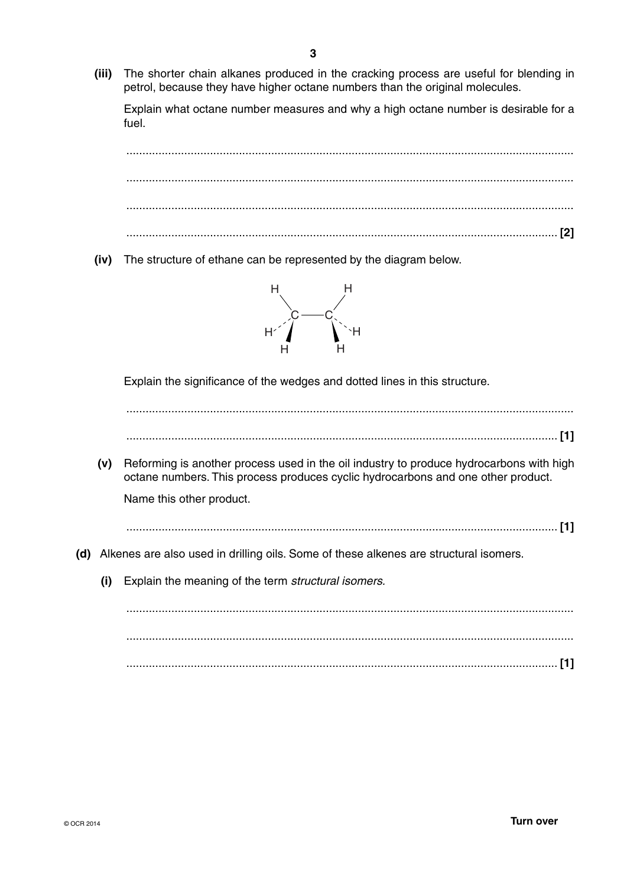**(iii)** The shorter chain alkanes produced in the cracking process are useful for blending in petrol, because they have higher octane numbers than the original molecules.

Explain what octane number measures and why a high octane number is desirable for a fuel.

 ........................................................................................................................................... ........................................................................................................................................... ........................................................................................................................................... ...................................................................................................................................... **[2] (iv)** The structure of ethane can be represented by the diagram below.  $\rm c$  —  $\rm c$ H H H H H H Explain the significance of the wedges and dotted lines in this structure. ........................................................................................................................................... ...................................................................................................................................... **[1] (v)** Reforming is another process used in the oil industry to produce hydrocarbons with high octane numbers. This process produces cyclic hydrocarbons and one other product. Name this other product. ...................................................................................................................................... **[1] (d)** Alkenes are also used in drilling oils. Some of these alkenes are structural isomers.  **(i)** Explain the meaning of the term *structural isomers.* ........................................................................................................................................... ........................................................................................................................................... ...................................................................................................................................... **[1]**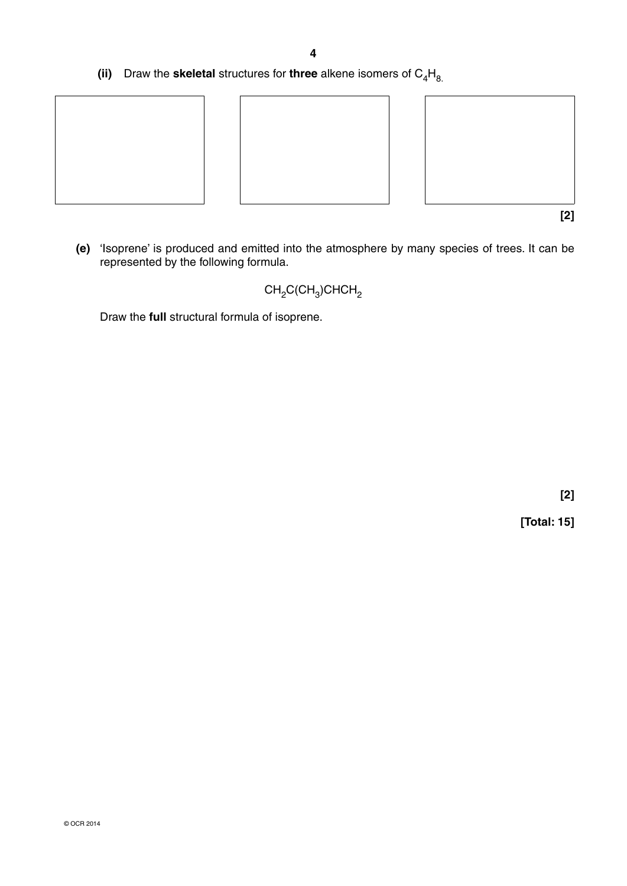**(ii)** Draw the **skeletal** structures for **three** alkene isomers of  $C_4H_8$ .



 **(e)** 'Isoprene' is produced and emitted into the atmosphere by many species of trees. It can be represented by the following formula.

## $CH<sub>2</sub>C(CH<sub>3</sub>)CHCH<sub>2</sub>$

Draw the **full** structural formula of isoprene.

 **[2]**

**[Total: 15]**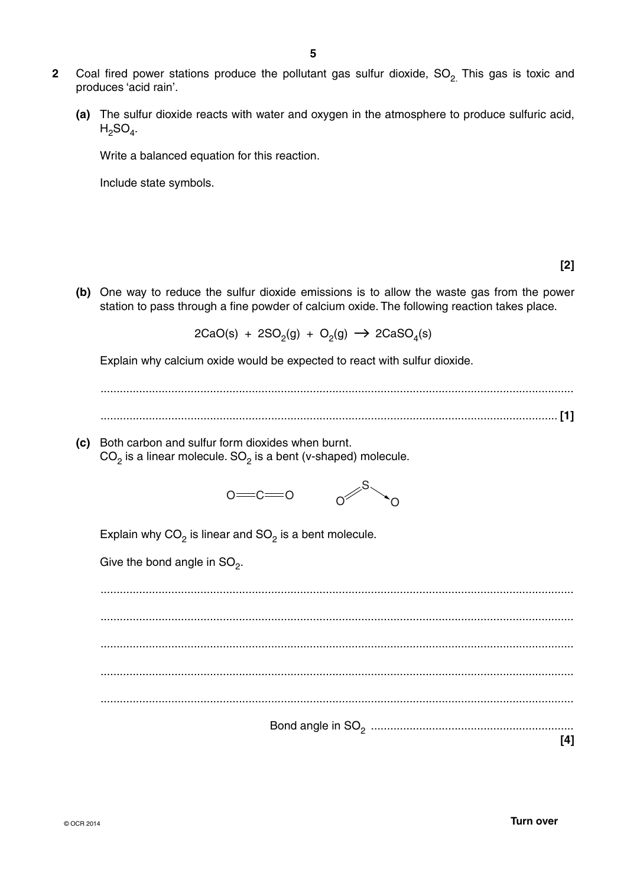- **2** Coal fired power stations produce the pollutant gas sulfur dioxide, SO<sub>2</sub>. This gas is toxic and produces 'acid rain'.
	- **(a)** The sulfur dioxide reacts with water and oxygen in the atmosphere to produce sulfuric acid,  $H_2SO_4$ .

Write a balanced equation for this reaction.

Include state symbols.

 **(b)** One way to reduce the sulfur dioxide emissions is to allow the waste gas from the power station to pass through a fine powder of calcium oxide. The following reaction takes place.

 $2CaO(s) + 2SO<sub>2</sub>(g) + O<sub>2</sub>(g) \rightarrow 2CaSO<sub>4</sub>(s)$ 

Explain why calcium oxide would be expected to react with sulfur dioxide.

 ................................................................................................................................................... .............................................................................................................................................. **[1]**

 **(c)** Both carbon and sulfur form dioxides when burnt.  $CO<sub>2</sub>$  is a linear molecule.  $SO<sub>2</sub>$  is a bent (v-shaped) molecule.



Explain why  $CO<sub>2</sub>$  is linear and  $SO<sub>2</sub>$  is a bent molecule.

Give the bond angle in  $SO_2$ .

 ................................................................................................................................................... ................................................................................................................................................... ................................................................................................................................................... ................................................................................................................................................... ................................................................................................................................................... Bond angle in SO2 ............................................................... **[4]**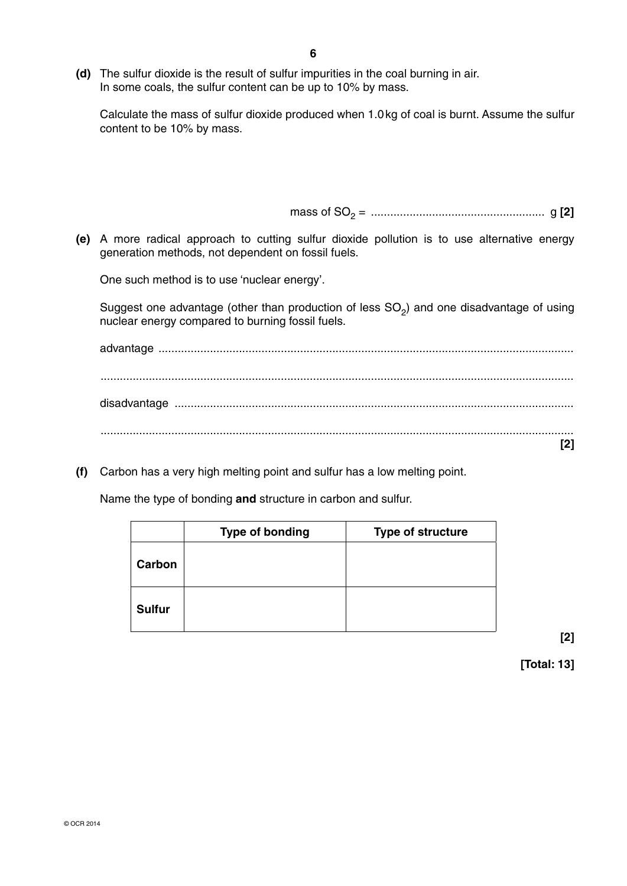**(d)** The sulfur dioxide is the result of sulfur impurities in the coal burning in air. In some coals, the sulfur content can be up to 10% by mass.

Calculate the mass of sulfur dioxide produced when 1.0 kg of coal is burnt. Assume the sulfur content to be 10% by mass.

mass of SO2 = ...................................................... g **[2]**

 **(e)** A more radical approach to cutting sulfur dioxide pollution is to use alternative energy generation methods, not dependent on fossil fuels.

One such method is to use 'nuclear energy'.

Suggest one advantage (other than production of less SO<sub>2</sub>) and one disadvantage of using nuclear energy compared to burning fossil fuels.

advantage ................................................................................................................................. ................................................................................................................................................... disadvantage ............................................................................................................................ ................................................................................................................................................... **[2]**

 **(f)** Carbon has a very high melting point and sulfur has a low melting point.

Name the type of bonding **and** structure in carbon and sulfur.

|               | <b>Type of bonding</b> | <b>Type of structure</b> |
|---------------|------------------------|--------------------------|
| Carbon        |                        |                          |
| <b>Sulfur</b> |                        |                          |

**[2]** 

**[Total: 13]**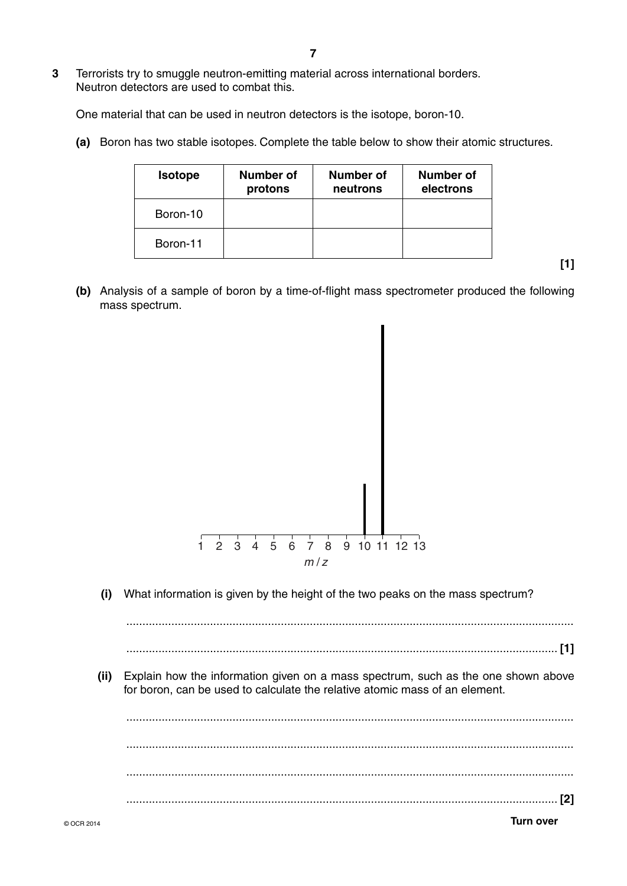### **3** Terrorists try to smuggle neutron-emitting material across international borders. Neutron detectors are used to combat this.

One material that can be used in neutron detectors is the isotope, boron-10.

 **(a)** Boron has two stable isotopes. Complete the table below to show their atomic structures.

| <b>Isotope</b> | Number of<br>protons | Number of<br>neutrons | Number of<br>electrons |
|----------------|----------------------|-----------------------|------------------------|
| Boron-10       |                      |                       |                        |
| Boron-11       |                      |                       |                        |

**[1]**

 **(b)** Analysis of a sample of boron by a time-of-flight mass spectrometer produced the following mass spectrum.



 **(i)** What information is given by the height of the two peaks on the mass spectrum?

 ........................................................................................................................................... ...................................................................................................................................... **[1]**

 **(ii)** Explain how the information given on a mass spectrum, such as the one shown above for boron, can be used to calculate the relative atomic mass of an element.

 ........................................................................................................................................... ........................................................................................................................................... ........................................................................................................................................... ...................................................................................................................................... **[2]**

© OCR 2014 **Turn over**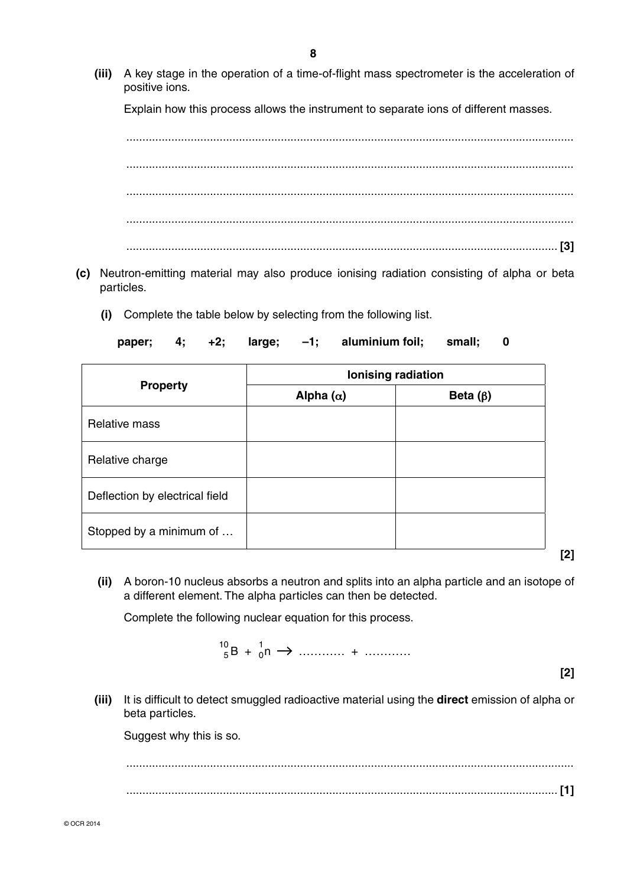**(iii)** A key stage in the operation of a time-of-flight mass spectrometer is the acceleration of positive ions.

Explain how this process allows the instrument to separate ions of different masses.



- **(c)** Neutron-emitting material may also produce ionising radiation consisting of alpha or beta particles.
	- **(i)** Complete the table below by selecting from the following list.

**paper; 4; +2; large; –1; aluminium foil; small; 0**

|                                | Ionising radiation |                |  |  |  |
|--------------------------------|--------------------|----------------|--|--|--|
| <b>Property</b>                | Alpha $(\alpha)$   | Beta $(\beta)$ |  |  |  |
| <b>Relative mass</b>           |                    |                |  |  |  |
| Relative charge                |                    |                |  |  |  |
| Deflection by electrical field |                    |                |  |  |  |
| Stopped by a minimum of        |                    |                |  |  |  |

 **(ii)** A boron-10 nucleus absorbs a neutron and splits into an alpha particle and an isotope of a different element. The alpha particles can then be detected.

Complete the following nuclear equation for this process.

$$
{}_{5}^{10}B + {}_{0}^{1}n \rightarrow \dots \dots \dots + \dots \dots
$$

**[2]**

**[2]** 

 **(iii)** It is difficult to detect smuggled radioactive material using the **direct** emission of alpha or beta particles.

Suggest why this is so.

 ........................................................................................................................................... ...................................................................................................................................... **[1]**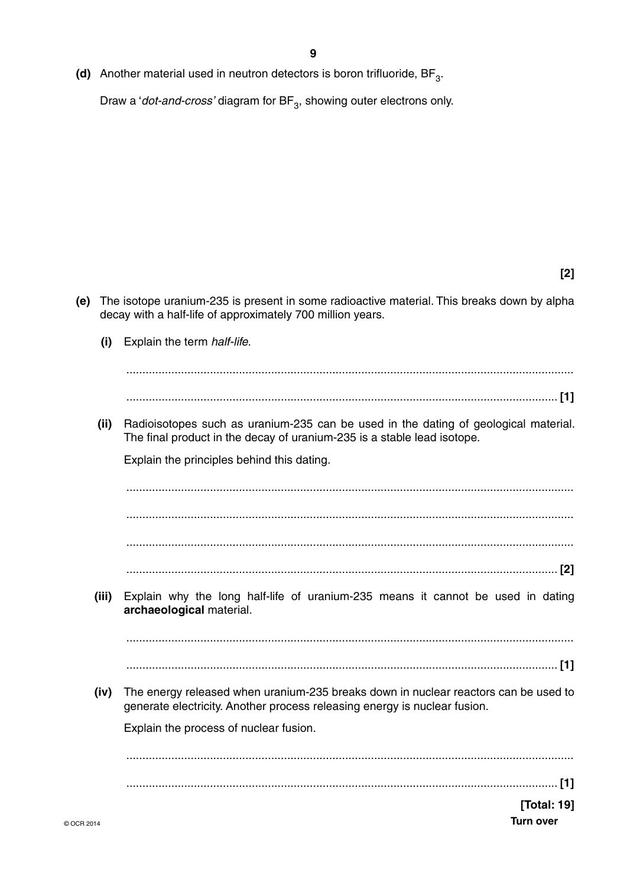**(d)** Another material used in neutron detectors is boron trifluoride, BF<sub>3</sub>.

Draw a '*dot-and-cross'* diagram for BF<sub>3</sub>, showing outer electrons only.

**[2]**

 **(e)** The isotope uranium-235 is present in some radioactive material. This breaks down by alpha decay with a half-life of approximately 700 million years.  **(i)** Explain the term *half-life*. ........................................................................................................................................... ...................................................................................................................................... **[1] (ii)** Radioisotopes such as uranium-235 can be used in the dating of geological material. The final product in the decay of uranium-235 is a stable lead isotope. Explain the principles behind this dating. ........................................................................................................................................... ........................................................................................................................................... ........................................................................................................................................... ...................................................................................................................................... **[2] (iii)** Explain why the long half-life of uranium-235 means it cannot be used in dating **archaeological** material. ........................................................................................................................................... ...................................................................................................................................... **[1] (iv)** The energy released when uranium-235 breaks down in nuclear reactors can be used to generate electricity. Another process releasing energy is nuclear fusion. Explain the process of nuclear fusion. ........................................................................................................................................... ...................................................................................................................................... **[1]**

**[Total: 19]**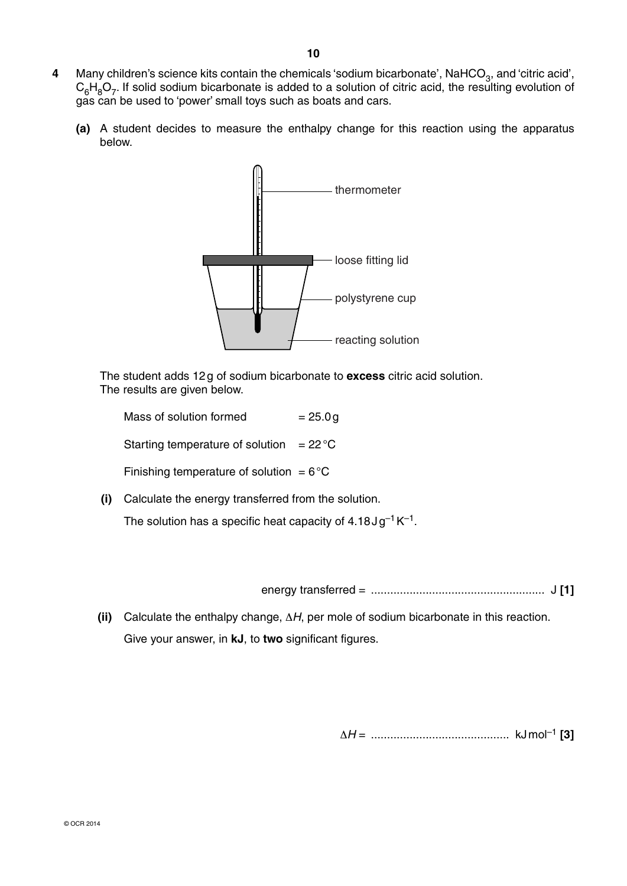- 4 Many children's science kits contain the chemicals 'sodium bicarbonate', NaHCO<sub>3</sub>, and 'citric acid',  $C_6H_8O_7$ . If solid sodium bicarbonate is added to a solution of citric acid, the resulting evolution of gas can be used to 'power' small toys such as boats and cars.
	- **(a)** A student decides to measure the enthalpy change for this reaction using the apparatus below.



 The student adds 12 g of sodium bicarbonate to **excess** citric acid solution. The results are given below.

Mass of solution formed  $= 25.0 g$ 

Starting temperature of solution  $= 22 \degree C$ 

Finishing temperature of solution =  $6^{\circ}$ C

 **(i)** Calculate the energy transferred from the solution.

The solution has a specific heat capacity of  $4.18 \text{ J} \text{g}^{-1} \text{K}^{-1}$ .

energy transferred = ...................................................... J **[1]**

 **(ii)** Calculate the enthalpy change, Δ*H*, per mole of sodium bicarbonate in this reaction. Give your answer, in **kJ**, to **two** significant figures.

Δ*H* = ........................................... kJ mol–1 **[3]**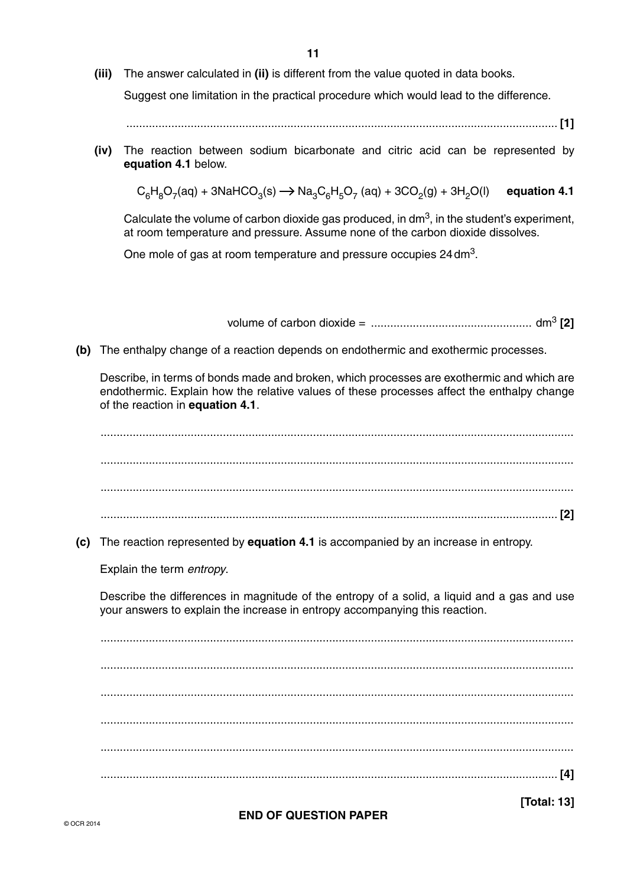**11**

 **(iii)** The answer calculated in **(ii)** is different from the value quoted in data books.

Suggest one limitation in the practical procedure which would lead to the difference.

...................................................................................................................................... **[1]**

 **(iv)** The reaction between sodium bicarbonate and citric acid can be represented by **equation 4.1** below.

 $C_6H_8O_7(aq) + 3NaHCO_3(s) \rightarrow Na_3C_6H_5O_7(aq) + 3CO_2(g) + 3H_2O(l)$  equation 4.1

Calculate the volume of carbon dioxide gas produced, in dm3, in the student's experiment, at room temperature and pressure. Assume none of the carbon dioxide dissolves.

One mole of gas at room temperature and pressure occupies 24 dm3.

volume of carbon dioxide = .................................................. dm3 **[2]**

 **(b)** The enthalpy change of a reaction depends on endothermic and exothermic processes.

Describe, in terms of bonds made and broken, which processes are exothermic and which are endothermic. Explain how the relative values of these processes affect the enthalpy change of the reaction in **equation 4.1**.

 ................................................................................................................................................... ................................................................................................................................................... ................................................................................................................................................... .............................................................................................................................................. **[2] (c)** The reaction represented by **equation 4.1** is accompanied by an increase in entropy. Explain the term *entropy*. Describe the differences in magnitude of the entropy of a solid, a liquid and a gas and use your answers to explain the increase in entropy accompanying this reaction. ................................................................................................................................................... ................................................................................................................................................... ................................................................................................................................................... ................................................................................................................................................... ................................................................................................................................................... .............................................................................................................................................. **[4]**

**END OF QUESTION PAPER**